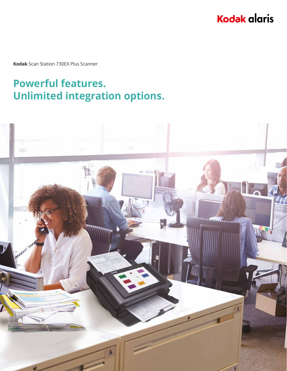# **Kodak alaris**

**Kodak** Scan Station 730EX Plus Scanner

# **Powerful features. Unlimited integration options.**

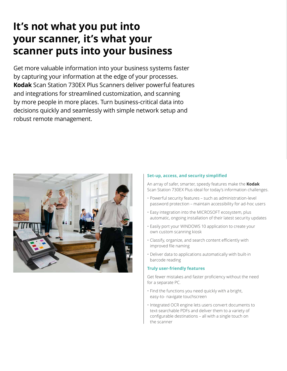## **It's not what you put into your scanner, it's what your scanner puts into your business**

Get more valuable information into your business systems faster by capturing your information at the edge of your processes. **Kodak** Scan Station 730EX Plus Scanners deliver powerful features and integrations for streamlined customization, and scanning by more people in more places. Turn business-critical data into decisions quickly and seamlessly with simple network setup and robust remote management.



### **Set-up, access, and security simplified**

An array of safer, smarter, speedy features make the **Kodak** Scan Station 730EX Plus ideal for today's information challenges.

- Powerful security features such as administration-level password protection – maintain accessibility for ad-hoc users
- Easy integration into the MICROSOFT ecosystem, plus automatic, ongoing installation of their latest security updates
- Easily port your WINDOWS 10 application to create your own custom scanning kiosk
- • Classify, organize, and search content efficiently with improved file naming
- Deliver data to applications automatically with built-in barcode reading

### **Truly user-friendly features**

Get fewer mistakes and faster proficiency without the need for a separate PC.

- Find the functions you need quickly with a bright, easy-to- navigate touchscreen
- Integrated OCR engine lets users convert documents to text-searchable PDFs and deliver them to a variety of configurable destinations – all with a single touch on the scanner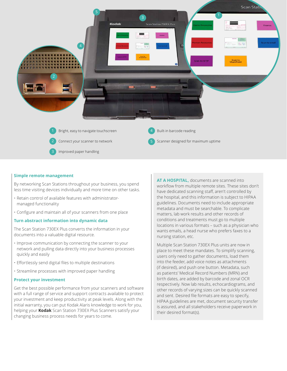

#### **Simple remote management**

By networking Scan Stations throughout your business, you spend less time visiting devices individually and more time on other tasks.

- Retain control of available features with administratormanaged functionality
- • Configure and maintain all of your scanners from one place

#### **Turn abstract information into dynamic data**

The Scan Station 730EX Plus converts the information in your documents into a valuable digital resource.

- Improve communication by connecting the scanner to your network and pulling data directly into your business processes quickly and easily
- • Effortlessly send digital files to multiple destinations
- Streamline processes with improved paper handling

#### **Protect your investment**

Get the best possible performance from your scanners and software with a full range of service and support contracts available to protect your investment and keep productivity at peak levels. Along with the initial warranty, you can put Kodak Alaris knowledge to work for you, helping your **Kodak** Scan Station 730EX Plus Scanners satisfy your changing business process needs for years to come.

**AT A HOSPITAL,** documents are scanned into workflow from multiple remote sites. These sites don't have dedicated scanning staff, aren't controlled by the hospital, and this information is subject to HIPAA guidelines. Documents need to include appropriate metadata and must be searchable. To complicate matters, lab work results and other records of conditions and treatments must go to multiple locations in various formats – such as a physician who wants emails, a head nurse who prefers faxes to a nursing station, etc.

Multiple Scan Station 730EX Plus units are now in place to meet these mandates. To simplify scanning, users only need to gather documents, load them into the feeder, add voice notes as attachments (if desired), and push one button. Metadata, such as patients' Medical Record Numbers (MRN) and birth dates, are added by barcode and zonal OCR respectively. Now lab results, echocardiograms, and other records of varying sizes can be quickly scanned and sent. Desired file formats are easy to specify, HIPAA guidelines are met, document security transfer is assured, and all stakeholders receive paperwork in their desired format(s).